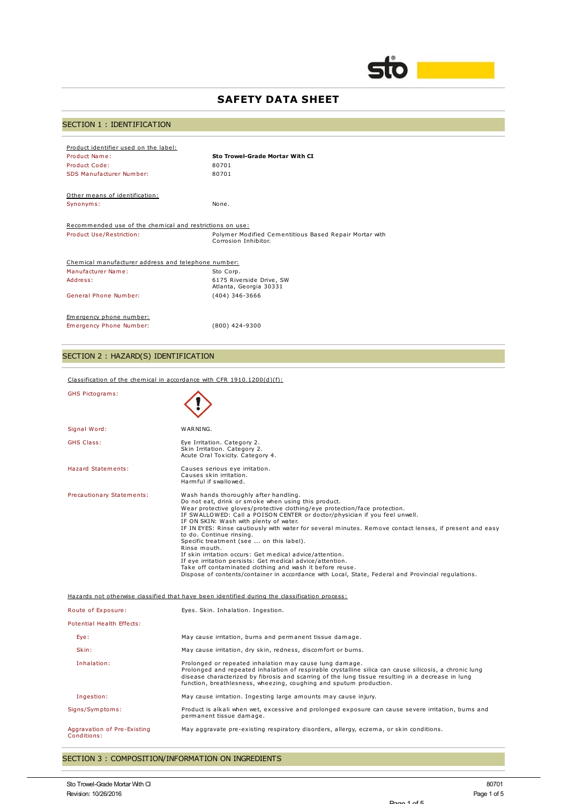

# **SAFETY DATA SHEET**

# SECTION 1 : IDENTIFICATION

| Product identifier used on the label:                    |                                                                                |
|----------------------------------------------------------|--------------------------------------------------------------------------------|
| Product Name:                                            | Sto Trowel-Grade Mortar With CI                                                |
| Product Code:                                            | 80701                                                                          |
| SDS Manufacturer Number:                                 | 80701                                                                          |
| Other means of identification:                           |                                                                                |
| Synonyms:                                                | None.                                                                          |
| Recommended use of the chemical and restrictions on use: |                                                                                |
| Product Use/Restriction:                                 | Polymer Modified Cementitious Based Repair Mortar with<br>Corrosion Inhibitor. |
| Chemical manufacturer address and telephone number:      |                                                                                |
| Manufacturer Name:                                       | Sto Corp.                                                                      |
| Address:                                                 | 6175 Riverside Drive, SW<br>Atlanta, Georgia 30331                             |
| General Phone Number:                                    | $(404)$ 346-3666                                                               |
| Emergency phone number:                                  |                                                                                |
| Emergency Phone Number:                                  | $(800)$ 424-9300                                                               |
|                                                          |                                                                                |

## SECTION 2 : HAZARD(S) IDENTIFICATION

Classification of the chemical in accordance with CFR 1910.1200(d)(f):

| <b>GHS Pictograms:</b>                     |                                                                                                                                                                                                                                                                                                                                                                                                                                                                                                                                                                                                                                                                                                                                                                                                  |
|--------------------------------------------|--------------------------------------------------------------------------------------------------------------------------------------------------------------------------------------------------------------------------------------------------------------------------------------------------------------------------------------------------------------------------------------------------------------------------------------------------------------------------------------------------------------------------------------------------------------------------------------------------------------------------------------------------------------------------------------------------------------------------------------------------------------------------------------------------|
| Signal Word:                               | WARNING.                                                                                                                                                                                                                                                                                                                                                                                                                                                                                                                                                                                                                                                                                                                                                                                         |
| <b>GHS Class:</b>                          | Eye Irritation. Category 2.<br>Skin Irritation. Category 2.<br>Acute Oral Toxicity. Category 4.                                                                                                                                                                                                                                                                                                                                                                                                                                                                                                                                                                                                                                                                                                  |
| Hazard Statements:                         | Causes serious eye irritation.<br>Causes skin irritation.<br>Harmful if swallowed.                                                                                                                                                                                                                                                                                                                                                                                                                                                                                                                                                                                                                                                                                                               |
| Precautionary Statements:                  | Wash hands thoroughly after handling.<br>Do not eat, drink or smoke when using this product.<br>Wear protective gloves/protective clothing/eye protection/face protection.<br>IF SWALLOWED: Call a POISON CENTER or doctor/physician if you feel unwell.<br>IF ON SKIN: Wash with plenty of water.<br>IF IN EYES: Rinse cautiously with water for several minutes. Remove contact lenses, if present and easy<br>to do. Continue rinsing.<br>Specific treatment (see  on this label).<br>Rinse mouth.<br>If skin irritation occurs: Get medical advice/attention.<br>If eye irritation persists: Get medical advice/attention.<br>Take off contaminated clothing and wash it before reuse.<br>Dispose of contents/container in accordance with Local, State, Federal and Provincial regulations. |
|                                            | Hazards not otherwise classified that have been identified during the classification process:                                                                                                                                                                                                                                                                                                                                                                                                                                                                                                                                                                                                                                                                                                    |
| Route of Exposure:                         | Eyes. Skin. Inhalation. Ingestion.                                                                                                                                                                                                                                                                                                                                                                                                                                                                                                                                                                                                                                                                                                                                                               |
| Potential Health Effects:                  |                                                                                                                                                                                                                                                                                                                                                                                                                                                                                                                                                                                                                                                                                                                                                                                                  |
| Eye:                                       | May cause irritation, burns and permanent tissue damage.                                                                                                                                                                                                                                                                                                                                                                                                                                                                                                                                                                                                                                                                                                                                         |
| Skin:                                      | May cause irritation, dry skin, redness, discomfort or burns.                                                                                                                                                                                                                                                                                                                                                                                                                                                                                                                                                                                                                                                                                                                                    |
| Inhalation:                                | Prolonged or repeated inhalation may cause lung damage.<br>Prolonged and repeated inhalation of respirable crystalline silica can cause silicosis, a chronic lung<br>disease characterized by fibrosis and scarring of the lung tissue resulting in a decrease in lung<br>function, breathlesness, wheezing, coughing and sputum production.                                                                                                                                                                                                                                                                                                                                                                                                                                                     |
| Ingestion:                                 | May cause irritation. Ingesting large amounts may cause injury.                                                                                                                                                                                                                                                                                                                                                                                                                                                                                                                                                                                                                                                                                                                                  |
| Signs/Symptoms:                            | Product is alkali when wet, excessive and prolonged exposure can cause severe irritation, burns and<br>permanent tissue damage.                                                                                                                                                                                                                                                                                                                                                                                                                                                                                                                                                                                                                                                                  |
| Aggravation of Pre-Existing<br>Conditions: | May aggravate pre-existing respiratory disorders, allergy, eczema, or skin conditions.                                                                                                                                                                                                                                                                                                                                                                                                                                                                                                                                                                                                                                                                                                           |

## SECTION 3 : COMPOSITION/INFORMATION ON INGREDIENTS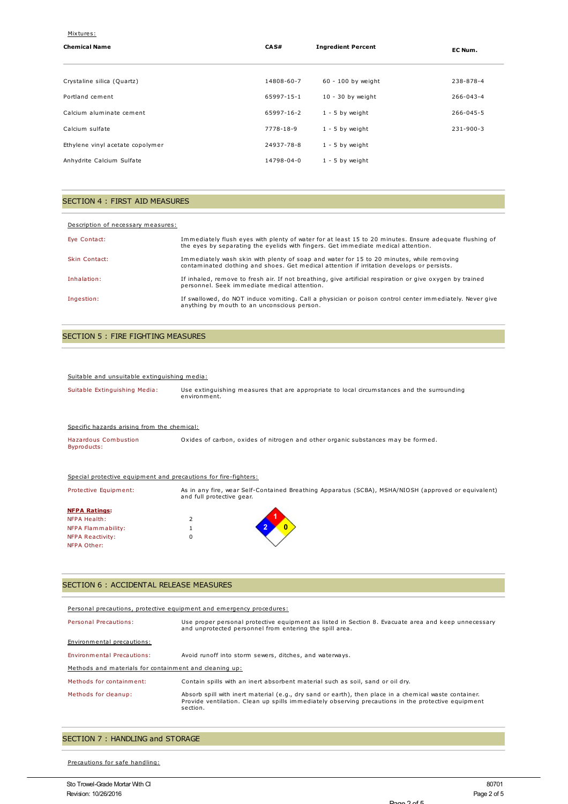| Mixtures:                        |            |                           |                 |
|----------------------------------|------------|---------------------------|-----------------|
| <b>Chemical Name</b>             | CA S#      | <b>Ingredient Percent</b> | EC Num.         |
|                                  |            |                           |                 |
| Crystaline silica (Quartz)       | 14808-60-7 | 60 - 100 by weight        | 238-878-4       |
| Portland cement                  | 65997-15-1 | $10 - 30$ by weight       | $266 - 043 - 4$ |
| Calcium aluminate cement         | 65997-16-2 | $1 - 5$ by weight         | $266 - 045 - 5$ |
| Calcium sulfate                  | 7778-18-9  | $1 - 5$ by weight         | $231 - 900 - 3$ |
| Ethylene vinyl acetate copolymer | 24937-78-8 | $1 - 5$ by weight         |                 |
| Anhydrite Calcium Sulfate        | 14798-04-0 | $1 - 5$ by weight         |                 |

### SECTION 4 : FIRST AID MEASURES

| Description of necessary measures: |                                                                                                                                                                                             |
|------------------------------------|---------------------------------------------------------------------------------------------------------------------------------------------------------------------------------------------|
| Eye Contact:                       | Immediately flush eyes with plenty of water for at least 15 to 20 minutes. Ensure adequate flushing of<br>the eyes by separating the eyelids with fingers. Get immediate medical attention. |
| Skin Contact:                      | Immediately wash skin with plenty of soap and water for 15 to 20 minutes, while removing<br>contaminated clothing and shoes. Get medical attention if irritation develops or persists.      |
| Inhalation:                        | If inhaled, remove to fresh air. If not breathing, give artificial respiration or give oxygen by trained<br>personnel. Seek immediate medical attention.                                    |
| Ingestion:                         | If swallowed, do NOT induce vomiting. Call a physician or poison control center immediately. Never give<br>anything by mouth to an unconscious person.                                      |

## SECTION 5 : FIRE FIGHTING MEASURES

#### Suitable and unsuitable extinguishing media:

| Suitable Extinguishing Media:                                   | Use extinguishing measures that are appropriate to local circumstances and the surrounding<br>environment.                       |
|-----------------------------------------------------------------|----------------------------------------------------------------------------------------------------------------------------------|
| Specific hazards arising from the chemical:                     |                                                                                                                                  |
| <b>Hazardous Combustion</b><br>Byproducts:                      | Oxides of carbon, oxides of nitrogen and other organic substances may be formed.                                                 |
| Special protective equipment and precautions for fire-fighters: |                                                                                                                                  |
| Protective Equipment:                                           | As in any fire, wear Self-Contained Breathing Apparatus (SCBA), MSHA/NIOSH (approved or equivalent)<br>and full protective gear. |
| <b>NFPA Ratings:</b>                                            |                                                                                                                                  |
| <b>NFPA Health:</b>                                             | 2                                                                                                                                |
| NFPA Flammability:                                              |                                                                                                                                  |
| <b>NFPA Reactivity:</b>                                         | $\Omega$                                                                                                                         |
| NFPA Other:                                                     |                                                                                                                                  |

## SECTION 6 : ACCIDENTAL RELEASE MEASURES

#### Personal precautions, protective equipment and emergency procedures:

| Personal Precautions:                                  | Use proper personal protective equipment as listed in Section 8. Evacuate area and keep unnecessary<br>and unprotected personnel from entering the spill area.                                                          |  |
|--------------------------------------------------------|-------------------------------------------------------------------------------------------------------------------------------------------------------------------------------------------------------------------------|--|
| Environmental precautions:                             |                                                                                                                                                                                                                         |  |
| Environmental Precautions:                             | Avoid runoff into storm sewers, ditches, and waterways.                                                                                                                                                                 |  |
| Methods and materials for containment and cleaning up: |                                                                                                                                                                                                                         |  |
| Methods for containment:                               | Contain spills with an inert absorbent material such as soil, sand or oil drv.                                                                                                                                          |  |
| Methods for cleanup:                                   | Absorb spill with inert material (e.g., dry sand or earth), then place in a chemical waste container.<br>Provide ventilation. Clean up spills immediately observing precautions in the protective equipment<br>section. |  |

# SECTION 7 : HANDLING and STORAGE

### Precautions for safe handling: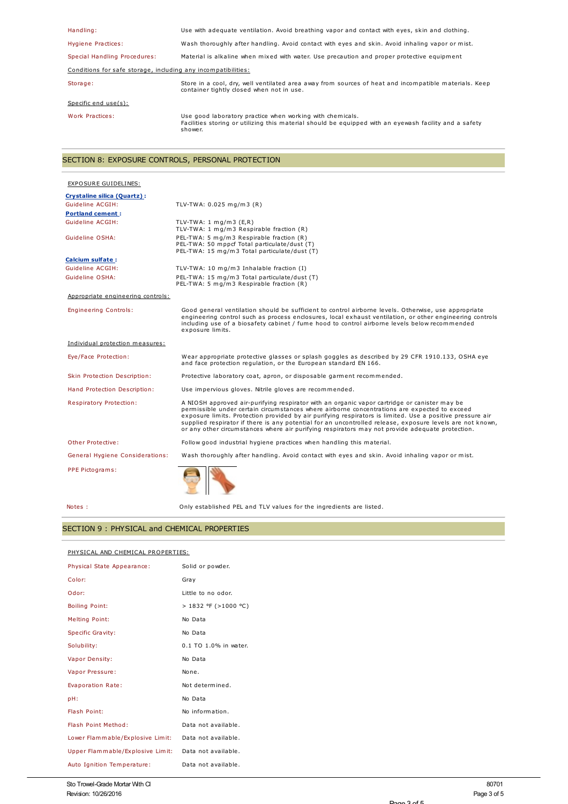| Handling:                                                     | Use with adequate ventilation. Avoid breathing vapor and contact with eyes, skin and clothing.                                                                                 |  |
|---------------------------------------------------------------|--------------------------------------------------------------------------------------------------------------------------------------------------------------------------------|--|
| Hygiene Practices:                                            | Wash thoroughly after handling. Avoid contact with eyes and skin. Avoid inhaling vapor or mist.                                                                                |  |
| Special Handling Procedures:                                  | Material is alkaline when mixed with water. Use precaution and proper protective equipment                                                                                     |  |
| Conditions for safe storage, including any incompatibilities: |                                                                                                                                                                                |  |
| Storage:                                                      | Store in a cool, dry, well ventilated area away from sources of heat and incompatible materials. Keep<br>container tightly closed when not in use.                             |  |
| Specific end $use(s)$ :                                       |                                                                                                                                                                                |  |
| Work Practices:                                               | Use good laboratory practice when working with chemicals.<br>Facilities storing or utilizing this material should be equipped with an eyewash facility and a safety<br>shower. |  |

# SECTION 8: EXPOSURE CONTROLS, PERSONAL PROTECTION

| EXPOSURE GUIDELINES:               |                                                                                                                                                                                                                                                                                                                                                                                                                                                                                                                           |
|------------------------------------|---------------------------------------------------------------------------------------------------------------------------------------------------------------------------------------------------------------------------------------------------------------------------------------------------------------------------------------------------------------------------------------------------------------------------------------------------------------------------------------------------------------------------|
| <b>Crystaline silica (Quartz):</b> |                                                                                                                                                                                                                                                                                                                                                                                                                                                                                                                           |
| Guideline ACGIH:                   | TLV-TWA: $0.025$ mg/m3 (R)                                                                                                                                                                                                                                                                                                                                                                                                                                                                                                |
| <b>Portland cement:</b>            |                                                                                                                                                                                                                                                                                                                                                                                                                                                                                                                           |
| Guideline ACGIH:                   | TLV-TWA: $1 \text{ mg/m}$ 3 (E,R)<br>TLV-TWA: 1 mg/m3 Respirable fraction (R)                                                                                                                                                                                                                                                                                                                                                                                                                                             |
| Guideline OSHA:                    | PEL-TWA: 5 mg/m3 Respirable fraction (R)<br>PEL-TWA: 50 mppcf Total particulate/dust (T)<br>PEL-TWA: 15 mg/m3 Total particulate/dust (T)                                                                                                                                                                                                                                                                                                                                                                                  |
| Calcium sulfate:                   |                                                                                                                                                                                                                                                                                                                                                                                                                                                                                                                           |
| Guideline ACGIH:                   | TLV-TWA: 10 mg/m3 Inhalable fraction (I)                                                                                                                                                                                                                                                                                                                                                                                                                                                                                  |
| Guideline OSHA:                    | PEL-TWA: 15 mg/m3 Total particulate/dust (T)<br>PEL-TWA: 5 mg/m3 Respirable fraction (R)                                                                                                                                                                                                                                                                                                                                                                                                                                  |
| Appropriate engineering controls:  |                                                                                                                                                                                                                                                                                                                                                                                                                                                                                                                           |
| <b>Engineering Controls:</b>       | Good general ventilation should be sufficient to control airborne levels. Otherwise, use appropriate<br>engineering control such as process enclosures, local exhaust ventilation, or other engineering controls<br>including use of a biosafety cabinet / fume hood to control airborne levels below recommended<br>exposure limits.                                                                                                                                                                                     |
| Individual protection measures:    |                                                                                                                                                                                                                                                                                                                                                                                                                                                                                                                           |
| Eye/Face Protection:               | Wear appropriate protective glasses or splash goggles as described by 29 CFR 1910.133, OSHA eye<br>and face protection regulation, or the European standard EN 166.                                                                                                                                                                                                                                                                                                                                                       |
| Skin Protection Description:       | Protective laboratory coat, apron, or disposable garment recommended.                                                                                                                                                                                                                                                                                                                                                                                                                                                     |
| Hand Protection Description:       | Use impervious gloves. Nitrile gloves are recommended.                                                                                                                                                                                                                                                                                                                                                                                                                                                                    |
| Respiratory Protection:            | A NIOSH approved air-purifying respirator with an organic vapor cartridge or canister may be<br>permissible under certain circumstances where airborne concentrations are expected to exceed<br>exposure limits. Protection provided by air purifying respirators is limited. Use a positive pressure air<br>supplied respirator if there is any potential for an uncontrolled release, exposure levels are not known,<br>or any other circumstances where air purifying respirators may not provide adequate protection. |
| Other Protective:                  | Follow good industrial hygiene practices when handling this material.                                                                                                                                                                                                                                                                                                                                                                                                                                                     |
| General Hygiene Considerations:    | Wash thoroughly after handling. Avoid contact with eyes and skin. Avoid inhaling vapor or mist.                                                                                                                                                                                                                                                                                                                                                                                                                           |
| PPE Pictograms:                    |                                                                                                                                                                                                                                                                                                                                                                                                                                                                                                                           |

Notes : Only established PEL and TLV values for the ingredients are listed.

# SECTION 9 : PHYSICAL and CHEMICAL PROPERTIES

| PHYSICAL AND CHEMICAL PROPERTIES: |                       |
|-----------------------------------|-----------------------|
| Physical State Appearance:        | Solid or powder.      |
| Color:                            | Gray                  |
| Odor:                             | Little to no odor.    |
| <b>Boiling Point:</b>             | > 1832 °F (>1000 °C)  |
| <b>Melting Point:</b>             | No Data               |
| Specific Gravity:                 | No Data               |
| Solubility:                       | 0.1 TO 1.0% in water. |
| Vapor Density:                    | No Data               |
| Vapor Pressure:                   | None.                 |
| Evaporation Rate:                 | Not determined.       |
| pH:                               | No Data               |
| Flash Point:                      | No information.       |
| Flash Point Method:               | Data not available.   |
| Lower Flammable/Explosive Limit:  | Data not available.   |
| Upper Flammable/Explosive Limit:  | Data not available.   |
| Auto Ignition Temperature:        | Data not available.   |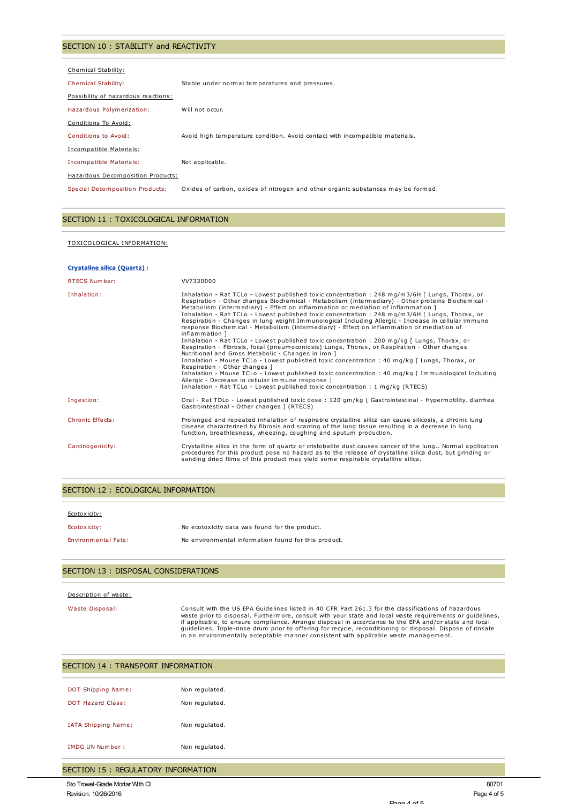### SECTION 10 : STABILITY and REACTIVITY

| Chemical Stability:                 |                                                                                  |
|-------------------------------------|----------------------------------------------------------------------------------|
| Chemical Stability:                 | Stable under normal temperatures and pressures.                                  |
| Possibility of hazardous reactions: |                                                                                  |
| Hazardous Polymerization:           | Will not occur.                                                                  |
| Conditions To Avoid:                |                                                                                  |
| Conditions to Avoid:                | Avoid high temperature condition. Avoid contact with incompatible materials.     |
| Incompatible Materials:             |                                                                                  |
| Incompatible Materials:             | Not applicable.                                                                  |
| Hazardous Decomposition Products:   |                                                                                  |
| Special Decomposition Products:     | Oxides of carbon, oxides of nitrogen and other organic substances may be formed. |

### SECTION 11 : TOXICOLOGICAL INFORMATION

#### TOXICOLOGICAL INFORMATION:

#### **Crystaline silica (Quartz) :**

| <b>RTECS Number:</b> | VV7330000                                                                                                                                                                                                                                                                                                                                                                                                                                                                                                                                                                                                                                                                                                                                                                                                                                                                                                                                                                                                                                                                                                                                                                                                                                                  |
|----------------------|------------------------------------------------------------------------------------------------------------------------------------------------------------------------------------------------------------------------------------------------------------------------------------------------------------------------------------------------------------------------------------------------------------------------------------------------------------------------------------------------------------------------------------------------------------------------------------------------------------------------------------------------------------------------------------------------------------------------------------------------------------------------------------------------------------------------------------------------------------------------------------------------------------------------------------------------------------------------------------------------------------------------------------------------------------------------------------------------------------------------------------------------------------------------------------------------------------------------------------------------------------|
| Inhalation:          | Inhalation - Rat TCLo - Lowest published toxic concentration : 248 mg/m3/6H [ Lungs, Thorax, or<br>Respiration - Other changes Biochemical - Metabolism (intermediary) - Other proteins Biochemical -<br>Metabolism (intermediary) - Effect on inflammation or mediation of inflammation ]<br>Inhalation - Rat TCLo - Lowest published toxic concentration : 248 mg/m3/6H [ Lungs, Thorax, or<br>Respiration - Changes in lung weight Immunological Including Allergic - Increase in cellular immune<br>response Biochemical - Metabolism (intermediary) - Effect on inflammation or mediation of<br>inflammation 1<br>Inhalation - Rat TCLo - Lowest published toxic concentration : 200 mg/kg [ Lungs, Thorax, or<br>Respiration - Fibrosis, focal (pneumoconiosis) Lungs, Thorax, or Respiration - Other changes<br>Nutritional and Gross Metabolic - Changes in iron 1<br>Inhalation - Mouse TCLo - Lowest published toxic concentration : 40 mg/kg [ Lungs, Thorax, or<br>Respiration - Other changes 1<br>Inhalation - Mouse TCLo - Lowest published toxic concentration : 40 mg/kg [Immunological Including]<br>Allergic - Decrease in cellular immune response ]<br>Inhalation - Rat TCLo - Lowest published toxic concentration : 1 mg/kg (RTECS) |
| Ingestion:           | Oral - Rat TDLo - Lowest published toxic dose: 120 qm/kq [ Gastrointestinal - Hypermotility, diarrhea<br>Gastrointestinal - Other changes ] (RTECS)                                                                                                                                                                                                                                                                                                                                                                                                                                                                                                                                                                                                                                                                                                                                                                                                                                                                                                                                                                                                                                                                                                        |
| Chronic Effects:     | Prolonged and repeated inhalation of respirable crystalline silica can cause silicosis, a chronic lung<br>disease characterized by fibrosis and scarring of the lung tissue resulting in a decrease in lung<br>function, breathlesness, wheezing, coughing and sputum production.                                                                                                                                                                                                                                                                                                                                                                                                                                                                                                                                                                                                                                                                                                                                                                                                                                                                                                                                                                          |
| Carcinogenicity:     | Crystalline silica in the form of quartz or cristobalite dust causes cancer of the lung Normal application<br>procedures for this product pose no hazard as to the release of crystalline silica dust, but grinding or<br>sanding dried films of this product may yield some respirable crystalline silica.                                                                                                                                                                                                                                                                                                                                                                                                                                                                                                                                                                                                                                                                                                                                                                                                                                                                                                                                                |

### SECTION 12 : ECOLOGICAL INFORMATION

| Ecotoxicity:               |                                                      |
|----------------------------|------------------------------------------------------|
| Ecotoxicity:               | No ecotoxicity data was found for the product.       |
| <b>Environmental Fate:</b> | No environmental information found for this product. |

### SECTION 13 : DISPOSAL CONSIDERATIONS

#### Description of waste:

Waste Disposal: Consult with the US EPA Guidelines listed in 40 CFR Part 261.3 for the classifications of hazardous waste prior to disposal. Furthermore, consult with your state and local waste requirements or guidelines,<br>if applicable, to ensure compliance. Arrange disposal in accordance to the EPA and/or state and local<br>guidelines. Tr

| SECTION 14 : TRANSPORT INFORMATION  |                |  |  |  |
|-------------------------------------|----------------|--|--|--|
| DOT Shipping Name:                  | Non regulated. |  |  |  |
| <b>DOT Hazard Class:</b>            | Non regulated. |  |  |  |
| IATA Shipping Name:                 | Non regulated. |  |  |  |
| IMDG UN Number:                     | Non regulated. |  |  |  |
| SECTION 15 : REGULATORY INFORMATION |                |  |  |  |

Page 4 of 5